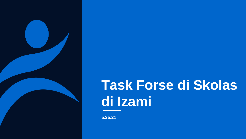

## **Task Forse di Skolas di Izami**

**5.25.21**